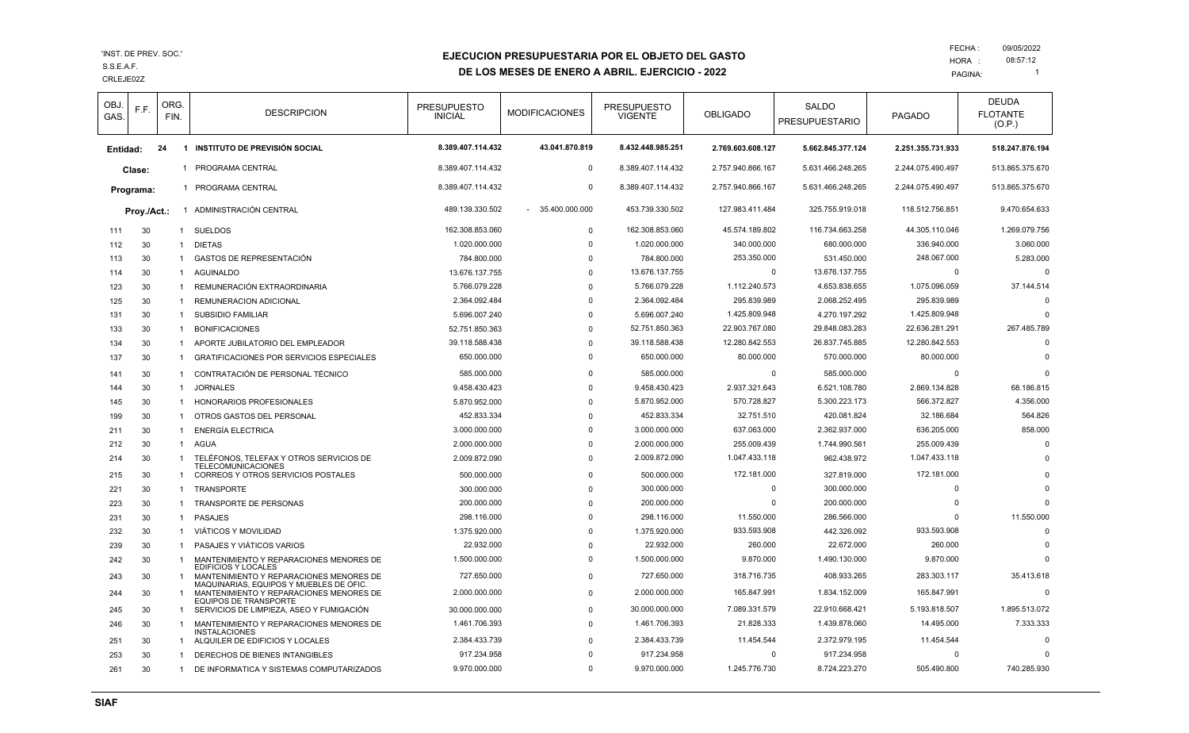CRLEJE02Z S.S.E.A.F.

# **EJECUCION PRESUPUESTARIA POR EL OBJETO DEL GASTO**

**DE LOS MESES DE ENERO A ABRIL. EJERCICIO - 2022**

| OBJ.<br>GAS. | F.F.        | ORG.<br>FIN. | <b>DESCRIPCION</b>                                                                                               | <b>PRESUPUESTO</b><br><b>INICIAL</b> | <b>MODIFICACIONES</b> | <b>PRESUPUESTO</b><br><b>VIGENTE</b> | <b>OBLIGADO</b>   | <b>SALDO</b><br><b>PRESUPUESTARIO</b> | <b>PAGADO</b>     | <b>DEUDA</b><br><b>FLOTANTE</b><br>(O.P.) |
|--------------|-------------|--------------|------------------------------------------------------------------------------------------------------------------|--------------------------------------|-----------------------|--------------------------------------|-------------------|---------------------------------------|-------------------|-------------------------------------------|
| Entidad:     |             | 24           | 1 INSTITUTO DE PREVISIÓN SOCIAL                                                                                  | 8.389.407.114.432                    | 43.041.870.819        | 8.432.448.985.251                    | 2.769.603.608.127 | 5.662.845.377.124                     | 2.251.355.731.933 | 518.247.876.194                           |
|              | Clase:      | $\mathbf 1$  | PROGRAMA CENTRAL                                                                                                 | 8.389.407.114.432                    | $\mathbf 0$           | 8.389.407.114.432                    | 2.757.940.866.167 | 5.631.466.248.265                     | 2.244.075.490.497 | 513.865.375.670                           |
|              | Programa:   |              | 1 PROGRAMA CENTRAL                                                                                               | 8.389.407.114.432                    | $\mathbf 0$           | 8.389.407.114.432                    | 2.757.940.866.167 | 5.631.466.248.265                     | 2.244.075.490.497 | 513.865.375.670                           |
|              | Proy./Act.: |              | 1 ADMINISTRACIÓN CENTRAL                                                                                         | 489.139.330.502                      | 35.400.000.000        | 453.739.330.502                      | 127.983.411.484   | 325.755.919.018                       | 118.512.756.851   | 9.470.654.633                             |
| 111          | 30          | 1            | <b>SUELDOS</b>                                                                                                   | 162.308.853.060                      | $\Omega$              | 162.308.853.060                      | 45.574.189.802    | 116.734.663.258                       | 44.305.110.046    | 1.269.079.756                             |
| 112          | 30          | -1           | <b>DIETAS</b>                                                                                                    | 1.020.000.000                        | $\Omega$              | 1.020.000.000                        | 340.000.000       | 680.000.000                           | 336.940.000       | 3.060.000                                 |
| 113          | 30          | 1            | GASTOS DE REPRESENTACIÓN                                                                                         | 784.800.000                          | $\Omega$              | 784.800.000                          | 253.350.000       | 531.450.000                           | 248.067.000       | 5.283.000                                 |
| 114          | 30          | 1            | AGUINALDO                                                                                                        | 13.676.137.755                       | $\Omega$              | 13.676.137.755                       | 0                 | 13.676.137.755                        | 0                 | $\Omega$                                  |
| 123          | 30          | $\mathbf{1}$ | REMUNERACIÓN EXTRAORDINARIA                                                                                      | 5.766.079.228                        | $\Omega$              | 5.766.079.228                        | 1.112.240.573     | 4.653.838.655                         | 1.075.096.059     | 37.144.514                                |
| 125          | 30          | -1           | REMUNERACION ADICIONAL                                                                                           | 2.364.092.484                        | $\Omega$              | 2.364.092.484                        | 295.839.989       | 2.068.252.495                         | 295.839.989       | $\Omega$                                  |
| 131          | 30          | $\mathbf 1$  | <b>SUBSIDIO FAMILIAR</b>                                                                                         | 5.696.007.240                        | $\Omega$              | 5.696.007.240                        | 1.425.809.948     | 4.270.197.292                         | 1.425.809.948     | $\Omega$                                  |
| 133          | 30          | -1           | <b>BONIFICACIONES</b>                                                                                            | 52.751.850.363                       | $\Omega$              | 52.751.850.363                       | 22.903.767.080    | 29.848.083.283                        | 22.636.281.291    | 267.485.789                               |
| 134          | 30          | -1           | APORTE JUBILATORIO DEL EMPLEADOR                                                                                 | 39.118.588.438                       | $\Omega$              | 39.118.588.438                       | 12.280.842.553    | 26.837.745.885                        | 12.280.842.553    | $\Omega$                                  |
| 137          | 30          | -1           | <b>GRATIFICACIONES POR SERVICIOS ESPECIALES</b>                                                                  | 650.000.000                          | $\Omega$              | 650.000.000                          | 80.000.000        | 570.000.000                           | 80.000.000        |                                           |
| 141          | 30          | -1           | CONTRATACIÓN DE PERSONAL TÉCNICO                                                                                 | 585.000.000                          | $\Omega$              | 585.000.000                          | $\Omega$          | 585.000.000                           | $\Omega$          |                                           |
| 144          | 30          | -1           | <b>JORNALES</b>                                                                                                  | 9.458.430.423                        | $\Omega$              | 9.458.430.423                        | 2.937.321.643     | 6.521.108.780                         | 2.869.134.828     | 68.186.815                                |
| 145          | 30          | -1           | HONORARIOS PROFESIONALES                                                                                         | 5.870.952.000                        | $\Omega$              | 5.870.952.000                        | 570.728.827       | 5.300.223.173                         | 566.372.827       | 4.356.000                                 |
| 199          | 30          | -1           | OTROS GASTOS DEL PERSONAL                                                                                        | 452.833.334                          | $\Omega$              | 452.833.334                          | 32.751.510        | 420.081.824                           | 32.186.684        | 564.826                                   |
| 211          | 30          | -1           | <b>ENERGÍA ELECTRICA</b>                                                                                         | 3.000.000.000                        | $\Omega$              | 3.000.000.000                        | 637.063.000       | 2.362.937.000                         | 636.205.000       | 858.000                                   |
| 212          | 30          | $\mathbf{1}$ | AGUA                                                                                                             | 2.000.000.000                        | $\Omega$              | 2.000.000.000                        | 255.009.439       | 1.744.990.561                         | 255.009.439       | $\Omega$                                  |
| 214          | 30          | $\mathbf 1$  | TELÉFONOS, TELEFAX Y OTROS SERVICIOS DE<br><b>TELECOMUNICACIONES</b>                                             | 2.009.872.090                        | $\Omega$              | 2.009.872.090                        | 1.047.433.118     | 962.438.972                           | 1.047.433.118     | $\Omega$                                  |
| 215          | 30          | 1            | <b>CORREOS Y OTROS SERVICIOS POSTALES</b>                                                                        | 500.000.000                          | $\Omega$              | 500.000.000                          | 172.181.000       | 327.819.000                           | 172.181.000       | $\Omega$                                  |
| 221          | 30          | $\mathbf 1$  | <b>TRANSPORTE</b>                                                                                                | 300.000.000                          | $\Omega$              | 300.000.000                          | $\Omega$          | 300.000.000                           | $\Omega$          | $\Omega$                                  |
| 223          | 30          | -1           | TRANSPORTE DE PERSONAS                                                                                           | 200.000.000                          | $\Omega$              | 200.000.000                          | $\Omega$          | 200.000.000                           | $\Omega$          | $\Omega$                                  |
| 231          | 30          | -1           | <b>PASAJES</b>                                                                                                   | 298.116.000                          | $\Omega$              | 298.116.000                          | 11.550.000        | 286.566.000                           | $\Omega$          | 11.550.000                                |
| 232          | 30          | -1           | VIÁTICOS Y MOVILIDAD                                                                                             | 1.375.920.000                        | $\mathbf 0$           | 1.375.920.000                        | 933.593.908       | 442.326.092                           | 933.593.908       | $\Omega$                                  |
| 239          | 30          | -1           | PASAJES Y VIÁTICOS VARIOS                                                                                        | 22.932.000                           | $\Omega$              | 22.932.000                           | 260.000           | 22.672.000                            | 260.000           |                                           |
| 242          | 30          | $\mathbf 1$  | MANTENIMIENTO Y REPARACIONES MENORES DE                                                                          | 1.500.000.000                        | $\Omega$              | 1.500.000.000                        | 9.870.000         | 1.490.130.000                         | 9.870.000         |                                           |
| 243          | 30          | -1           | <b>EDIFICIOS Y LOCALES</b><br>MANTENIMIENTO Y REPARACIONES MENORES DE<br>MAQUINARIAS, EQUIPOS Y MUEBLES DE OFIC. | 727.650.000                          | $\Omega$              | 727.650.000                          | 318.716.735       | 408.933.265                           | 283.303.117       | 35.413.618                                |
| 244          | 30          | $\mathbf{1}$ | MANTENIMIENTO Y REPARACIONES MENORES DE<br><b>EQUIPOS DE TRANSPORTE</b>                                          | 2.000.000.000                        | $\Omega$              | 2.000.000.000                        | 165.847.991       | 1.834.152.009                         | 165.847.991       | $\Omega$                                  |
| 245          | 30          | 1            | SERVICIOS DE LIMPIEZA, ASEO Y FUMIGACIÓN                                                                         | 30.000.000.000                       | 0                     | 30.000.000.000                       | 7.089.331.579     | 22.910.668.421                        | 5.193.818.507     | 1.895.513.072                             |
| 246          | 30          | -1           | MANTENIMIENTO Y REPARACIONES MENORES DE<br><b>INSTALACIONES</b>                                                  | 1.461.706.393                        | $\Omega$              | 1.461.706.393                        | 21.828.333        | 1.439.878.060                         | 14.495.000        | 7.333.333                                 |
| 251          | 30          | -1           | ALQUILER DE EDIFICIOS Y LOCALES                                                                                  | 2.384.433.739                        | $\Omega$              | 2.384.433.739                        | 11.454.544        | 2.372.979.195                         | 11.454.544        | $\Omega$                                  |
| 253          | 30          | -1           | DERECHOS DE BIENES INTANGIBLES                                                                                   | 917.234.958                          |                       | 917.234.958                          | $\Omega$          | 917.234.958                           | $\Omega$          |                                           |
| 261          | 30          | 1            | DE INFORMATICA Y SISTEMAS COMPUTARIZADOS                                                                         | 9.970.000.000                        | $\Omega$              | 9.970.000.000                        | 1.245.776.730     | 8.724.223.270                         | 505.490.800       | 740.285.930                               |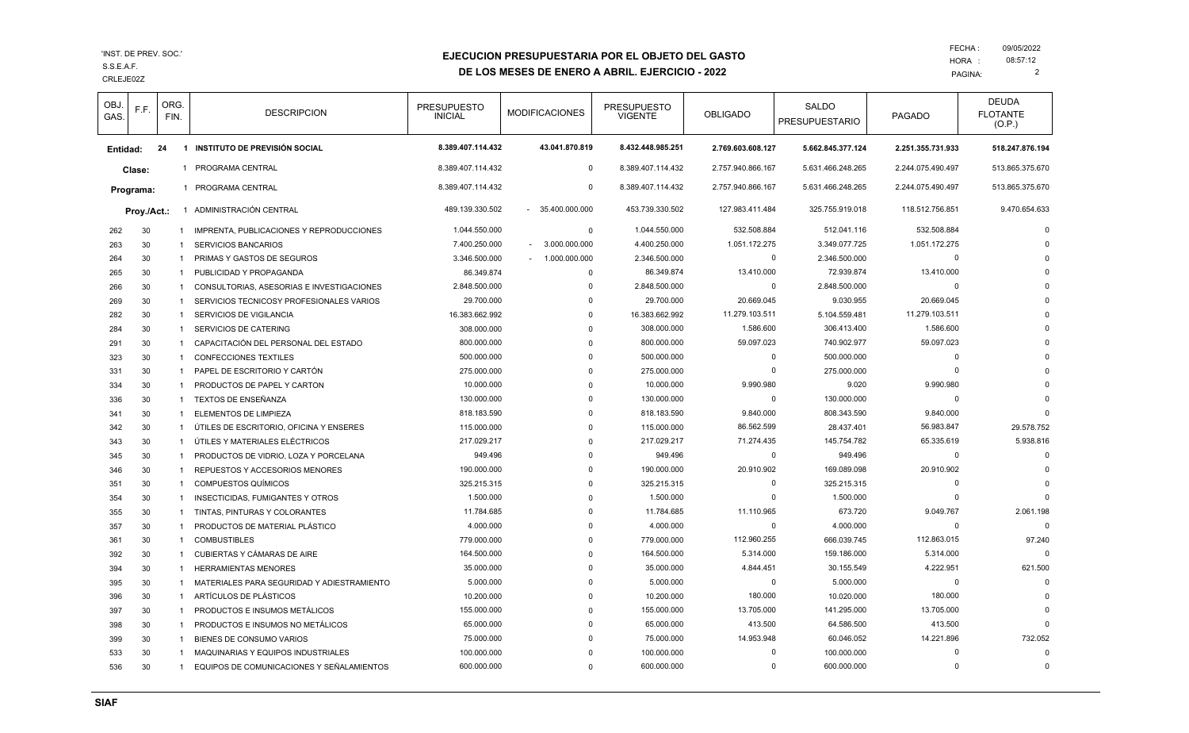CRLEJE02Z S.S.E.A.F.

## **EJECUCION PRESUPUESTARIA POR EL OBJETO DEL GASTO**

**DE LOS MESES DE ENERO A ABRIL. EJERCICIO - 2022**

| OBJ.<br>GAS. | F.F.        | ORG.<br>FIN. | <b>DESCRIPCION</b>                         | <b>PRESUPUESTO</b><br><b>INICIAL</b> | <b>MODIFICACIONES</b>   | <b>PRESUPUESTO</b><br><b>VIGENTE</b> | <b>OBLIGADO</b>   | <b>SALDO</b><br><b>PRESUPUESTARIO</b> | <b>PAGADO</b>     | <b>DEUDA</b><br><b>FLOTANTE</b><br>(O.P.) |
|--------------|-------------|--------------|--------------------------------------------|--------------------------------------|-------------------------|--------------------------------------|-------------------|---------------------------------------|-------------------|-------------------------------------------|
| Entidad:     |             | 24           | 1 INSTITUTO DE PREVISIÓN SOCIAL            | 8.389.407.114.432                    | 43.041.870.819          | 8.432.448.985.251                    | 2.769.603.608.127 | 5.662.845.377.124                     | 2.251.355.731.933 | 518.247.876.194                           |
|              | Clase:      |              | 1 PROGRAMA CENTRAL                         | 8.389.407.114.432                    | $\mathbf 0$             | 8.389.407.114.432                    | 2.757.940.866.167 | 5.631.466.248.265                     | 2.244.075.490.497 | 513.865.375.670                           |
|              | Programa:   |              | 1 PROGRAMA CENTRAL                         | 8.389.407.114.432                    | $\mathbf 0$             | 8.389.407.114.432                    | 2.757.940.866.167 | 5.631.466.248.265                     | 2.244.075.490.497 | 513.865.375.670                           |
|              |             |              |                                            |                                      |                         |                                      |                   |                                       |                   |                                           |
|              | Proy./Act.: |              | 1 ADMINISTRACIÓN CENTRAL                   | 489.139.330.502                      | 35.400.000.000          | 453.739.330.502                      | 127.983.411.484   | 325.755.919.018                       | 118.512.756.851   | 9.470.654.633                             |
| 262          | 30          | 1            | IMPRENTA, PUBLICACIONES Y REPRODUCCIONES   | 1.044.550.000                        | $\mathbf 0$             | 1.044.550.000                        | 532.508.884       | 512.041.116                           | 532.508.884       | $\Omega$                                  |
| 263          | 30          | 1            | <b>SERVICIOS BANCARIOS</b>                 | 7.400.250.000                        | 3.000.000.000           | 4.400.250.000                        | 1.051.172.275     | 3.349.077.725                         | 1.051.172.275     | $\Omega$                                  |
| 264          | 30          | $\mathbf{1}$ | <b>PRIMAS Y GASTOS DE SEGUROS</b>          | 3.346.500.000                        | 1.000.000.000<br>$\sim$ | 2.346.500.000                        | $\Omega$          | 2.346.500.000                         | $\Omega$          |                                           |
| 265          | 30          | $\mathbf{1}$ | PUBLICIDAD Y PROPAGANDA                    | 86.349.874                           | $\mathbf 0$             | 86.349.874                           | 13.410.000        | 72.939.874                            | 13.410.000        |                                           |
| 266          | 30          | $\mathbf{1}$ | CONSULTORIAS, ASESORIAS E INVESTIGACIONES  | 2.848.500.000                        | 0                       | 2.848.500.000                        | $\Omega$          | 2.848.500.000                         | $\Omega$          |                                           |
| 269          | 30          | 1            | SERVICIOS TECNICOSY PROFESIONALES VARIOS   | 29.700.000                           | $\Omega$                | 29.700.000                           | 20.669.045        | 9.030.955                             | 20.669.045        |                                           |
| 282          | 30          | 1            | SERVICIOS DE VIGILANCIA                    | 16.383.662.992                       | $\Omega$                | 16.383.662.992                       | 11.279.103.511    | 5.104.559.481                         | 11.279.103.511    |                                           |
| 284          | 30          | $\mathbf{1}$ | SERVICIOS DE CATERING                      | 308.000.000                          | $\Omega$                | 308.000.000                          | 1.586.600         | 306.413.400                           | 1.586.600         |                                           |
| 291          | 30          | $\mathbf{1}$ | CAPACITACIÓN DEL PERSONAL DEL ESTADO       | 800.000.000                          | $\Omega$                | 800.000.000                          | 59.097.023        | 740.902.977                           | 59.097.023        |                                           |
| 323          | 30          | $\mathbf{1}$ | <b>CONFECCIONES TEXTILES</b>               | 500.000.000                          | $\Omega$                | 500.000.000                          | $\Omega$          | 500.000.000                           | $\Omega$          |                                           |
| 331          | 30          | 1            | PAPEL DE ESCRITORIO Y CARTÓN               | 275.000.000                          | $\Omega$                | 275.000.000                          | $\Omega$          | 275.000.000                           | $\Omega$          |                                           |
| 334          | 30          | 1            | PRODUCTOS DE PAPEL Y CARTON                | 10.000.000                           | $\Omega$                | 10.000.000                           | 9.990.980         | 9.020                                 | 9.990.980         |                                           |
| 336          | 30          | $\mathbf{1}$ | TEXTOS DE ENSEÑANZA                        | 130.000.000                          | $\Omega$                | 130.000.000                          | $\mathbf 0$       | 130.000.000                           | $\Omega$          | $\Omega$                                  |
| 341          | 30          | 1            | <b>ELEMENTOS DE LIMPIEZA</b>               | 818.183.590                          | $\Omega$                | 818.183.590                          | 9.840.000         | 808.343.590                           | 9.840.000         | $\Omega$                                  |
| 342          | 30          | $\mathbf{1}$ | ÚTILES DE ESCRITORIO, OFICINA Y ENSERES    | 115.000.000                          | $\Omega$                | 115,000,000                          | 86.562.599        | 28.437.401                            | 56.983.847        | 29.578.752                                |
| 343          | 30          | $\mathbf{1}$ | ÚTILES Y MATERIALES ELÉCTRICOS             | 217.029.217                          | O                       | 217.029.217                          | 71.274.435        | 145.754.782                           | 65.335.619        | 5.938.816                                 |
| 345          | 30          | 1            | PRODUCTOS DE VIDRIO, LOZA Y PORCELANA      | 949.496                              | $\Omega$                | 949.496                              | $\Omega$          | 949.496                               | $\mathbf 0$       | $\Omega$                                  |
| 346          | 30          | $\mathbf{1}$ | <b>REPUESTOS Y ACCESORIOS MENORES</b>      | 190.000.000                          | $\Omega$                | 190.000.000                          | 20.910.902        | 169.089.098                           | 20.910.902        | $\Omega$                                  |
| 351          | 30          | 1            | <b>COMPUESTOS QUÍMICOS</b>                 | 325.215.315                          | $\Omega$                | 325.215.315                          | $\Omega$          | 325.215.315                           | $\Omega$          |                                           |
| 354          | 30          | 1            | INSECTICIDAS, FUMIGANTES Y OTROS           | 1.500.000                            | $\Omega$                | 1.500.000                            | $\Omega$          | 1.500.000                             | $\Omega$          |                                           |
| 355          | 30          | 1            | TINTAS, PINTURAS Y COLORANTES              | 11.784.685                           | $\Omega$                | 11.784.685                           | 11.110.965        | 673.720                               | 9.049.767         | 2.061.198                                 |
| 357          | 30          | 1            | PRODUCTOS DE MATERIAL PLÁSTICO             | 4.000.000                            | $\Omega$                | 4.000.000                            | $\Omega$          | 4.000.000                             | $\Omega$          | $\Omega$                                  |
| 361          | 30          | $\mathbf{1}$ | <b>COMBUSTIBLES</b>                        | 779.000.000                          | $\Omega$                | 779.000.000                          | 112.960.255       | 666.039.745                           | 112.863.015       | 97.240                                    |
| 392          | 30          | 1            | CUBIERTAS Y CÁMARAS DE AIRE                | 164.500.000                          | $\Omega$                | 164.500.000                          | 5.314.000         | 159.186.000                           | 5.314.000         |                                           |
| 394          | 30          | $\mathbf{1}$ | <b>HERRAMIENTAS MENORES</b>                | 35.000.000                           | $\Omega$                | 35.000.000                           | 4.844.451         | 30.155.549                            | 4.222.951         | 621.500                                   |
| 395          | 30          | 1            | MATERIALES PARA SEGURIDAD Y ADIESTRAMIENTO | 5.000.000                            | $\Omega$                | 5.000.000                            | $\Omega$          | 5.000.000                             | $\mathbf 0$       | $\Omega$                                  |
| 396          | 30          | 1            | ARTÍCULOS DE PLÁSTICOS                     | 10.200.000                           | $\Omega$                | 10.200.000                           | 180.000           | 10.020.000                            | 180.000           | $\Omega$                                  |
| 397          | 30          | $\mathbf{1}$ | PRODUCTOS E INSUMOS METÁLICOS              | 155.000.000                          | $\Omega$                | 155.000.000                          | 13.705.000        | 141.295.000                           | 13.705.000        | $\Omega$                                  |
| 398          | 30          | $\mathbf{1}$ | PRODUCTOS E INSUMOS NO METÁLICOS           | 65.000.000                           | $\Omega$                | 65.000.000                           | 413.500           | 64.586.500                            | 413.500           |                                           |
| 399          | 30          | $\mathbf{1}$ | BIENES DE CONSUMO VARIOS                   | 75.000.000                           | 0                       | 75.000.000                           | 14.953.948        | 60.046.052                            | 14.221.896        | 732.052                                   |
| 533          | 30          | -1           | <b>MAQUINARIAS Y EQUIPOS INDUSTRIALES</b>  | 100.000.000                          |                         | 100.000.000                          | $\Omega$          | 100.000.000                           | $\Omega$          | $\Omega$                                  |
| 536          | 30          | 1            | EQUIPOS DE COMUNICACIONES Y SEÑALAMIENTOS  | 600.000.000                          | $\Omega$                | 600.000.000                          | $\Omega$          | 600.000.000                           | $\Omega$          | $\Omega$                                  |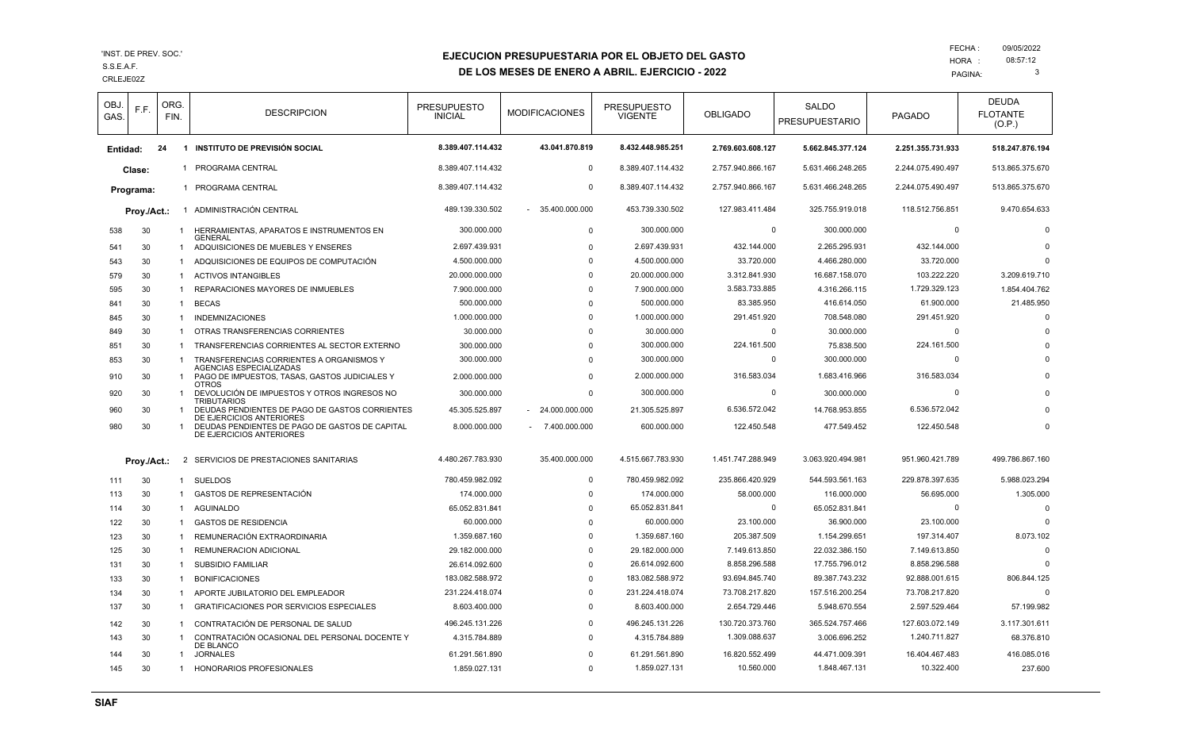#### CRLEJE02Z S.S.E.A.F.

### **EJECUCION PRESUPUESTARIA POR EL OBJETO DEL GASTO**

**DE LOS MESES DE ENERO A ABRIL. EJERCICIO - 2022**

| OBJ.<br>GAS. | F.F.        | ORG.<br>FIN. |                | <b>DESCRIPCION</b>                                                                               | <b>PRESUPUESTO</b><br><b>INICIAL</b> | <b>MODIFICACIONES</b> | <b>PRESUPUESTO</b><br>VIGENTE | <b>OBLIGADO</b>   | <b>SALDO</b><br><b>PRESUPUESTARIO</b> | <b>PAGADO</b>     | <b>DEUDA</b><br><b>FLOTANTE</b><br>(O.P.) |
|--------------|-------------|--------------|----------------|--------------------------------------------------------------------------------------------------|--------------------------------------|-----------------------|-------------------------------|-------------------|---------------------------------------|-------------------|-------------------------------------------|
| Entidad:     |             | 24           |                | 1 INSTITUTO DE PREVISIÓN SOCIAL                                                                  | 8.389.407.114.432                    | 43.041.870.819        | 8.432.448.985.251             | 2.769.603.608.127 | 5.662.845.377.124                     | 2.251.355.731.933 | 518.247.876.194                           |
|              | Clase:      |              |                | 1 PROGRAMA CENTRAL                                                                               | 8.389.407.114.432                    | $\overline{0}$        | 8.389.407.114.432             | 2.757.940.866.167 | 5.631.466.248.265                     | 2.244.075.490.497 | 513.865.375.670                           |
|              | Programa:   |              |                | 1 PROGRAMA CENTRAL                                                                               | 8.389.407.114.432                    | $\mathbf 0$           | 8.389.407.114.432             | 2.757.940.866.167 | 5.631.466.248.265                     | 2.244.075.490.497 | 513.865.375.670                           |
|              |             |              |                | 1 ADMINISTRACIÓN CENTRAL                                                                         | 489.139.330.502                      | 35.400.000.000        | 453.739.330.502               | 127.983.411.484   | 325.755.919.018                       | 118.512.756.851   | 9.470.654.633                             |
|              | Proy./Act.: |              |                |                                                                                                  |                                      |                       |                               |                   |                                       |                   |                                           |
| 538          | 30          |              | $\mathbf{1}$   | HERRAMIENTAS, APARATOS E INSTRUMENTOS EN<br><b>GENERAL</b>                                       | 300.000.000                          | $\Omega$              | 300.000.000                   |                   | $^{\circ}$<br>300.000.000             | $\Omega$          | $\Omega$                                  |
| 541          | 30          |              | $\overline{1}$ | ADQUISICIONES DE MUEBLES Y ENSERES                                                               | 2.697.439.931                        | $\Omega$              | 2.697.439.931                 | 432.144.000       | 2.265.295.931                         | 432.144.000       | $\Omega$                                  |
| 543          | 30          |              | $\mathbf{1}$   | ADQUISICIONES DE EQUIPOS DE COMPUTACIÓN                                                          | 4.500.000.000                        | $\Omega$              | 4.500.000.000                 | 33.720.000        | 4.466.280.000                         | 33.720.000        | $\Omega$                                  |
| 579          | 30          |              | -1             | <b>ACTIVOS INTANGIBLES</b>                                                                       | 20.000.000.000                       | $\Omega$              | 20.000.000.000                | 3.312.841.930     | 16.687.158.070                        | 103.222.220       | 3.209.619.710                             |
| 595          | 30          |              | $\overline{1}$ | REPARACIONES MAYORES DE INMUEBLES                                                                | 7.900.000.000                        | $\Omega$              | 7.900.000.000                 | 3.583.733.885     | 4.316.266.115                         | 1.729.329.123     | 1.854.404.762                             |
| 841          | 30          |              | $\mathbf{1}$   | <b>BECAS</b>                                                                                     | 500.000.000                          | $\Omega$              | 500.000.000                   | 83.385.950        | 416.614.050                           | 61.900.000        | 21.485.950                                |
| 845          | 30          |              | $\overline{1}$ | <b>INDEMNIZACIONES</b>                                                                           | 1.000.000.000                        | $\Omega$              | 1.000.000.000                 | 291.451.920       | 708.548.080                           | 291.451.920       | $\Omega$                                  |
| 849          | 30          |              | -1             | OTRAS TRANSFERENCIAS CORRIENTES                                                                  | 30.000.000                           | $\Omega$              | 30.000.000                    | $\Omega$          | 30.000.000                            | $\Omega$          | $\Omega$                                  |
| 851          | 30          |              | -1             | TRANSFERENCIAS CORRIENTES AL SECTOR EXTERNO                                                      | 300.000.000                          | $\Omega$              | 300.000.000                   | 224.161.500       | 75.838.500                            | 224.161.500       | $\Omega$                                  |
| 853          | 30          |              | -1             | TRANSFERENCIAS CORRIENTES A ORGANISMOS Y                                                         | 300.000.000                          | $\Omega$              | 300.000.000                   | $\Omega$          | 300.000.000                           | $\Omega$          | $\Omega$                                  |
| 910          | 30          |              | -1             | AGENCIAS ESPECIALIZADAS<br>PAGO DE IMPUESTOS, TASAS, GASTOS JUDICIALES Y                         | 2.000.000.000                        | $\Omega$              | 2.000.000.000                 | 316.583.034       | 1.683.416.966                         | 316.583.034       | $\Omega$                                  |
| 920          | 30          |              |                | <b>OTROS</b><br>DEVOLUCIÓN DE IMPUESTOS Y OTROS INGRESOS NO                                      | 300.000.000                          | $\mathbf 0$           | 300.000.000                   |                   | 0<br>300.000.000                      | $\mathbf 0$       | $\Omega$                                  |
| 960          | 30          |              | -1             | <b>TRIBUTARIOS</b><br>DEUDAS PENDIENTES DE PAGO DE GASTOS CORRIENTES<br>DE EJERCICIOS ANTERIORES | 45.305.525.897                       | 24.000.000.000        | 21.305.525.897                | 6.536.572.042     | 14.768.953.855                        | 6.536.572.042     | $\Omega$                                  |
| 980          | 30          |              | -1             | DEUDAS PENDIENTES DE PAGO DE GASTOS DE CAPITAL<br>DE EJERCICIOS ANTERIORES                       | 8.000.000.000                        | 7.400.000.000         | 600.000.000                   | 122.450.548       | 477.549.452                           | 122.450.548       | $\Omega$                                  |
|              | Proy./Act.: |              |                | 2 SERVICIOS DE PRESTACIONES SANITARIAS                                                           | 4.480.267.783.930                    | 35.400.000.000        | 4.515.667.783.930             | 1.451.747.288.949 | 3.063.920.494.981                     | 951.960.421.789   | 499.786.867.160                           |
| 111          | 30          |              | -1             | <b>SUELDOS</b>                                                                                   | 780.459.982.092                      | $\Omega$              | 780.459.982.092               | 235.866.420.929   | 544.593.561.163                       | 229.878.397.635   | 5.988.023.294                             |
| 113          | 30          |              | $\mathbf{1}$   | <b>GASTOS DE REPRESENTACIÓN</b>                                                                  | 174.000.000                          | $\Omega$              | 174.000.000                   | 58.000.000        | 116.000.000                           | 56.695.000        | 1.305.000                                 |
| 114          | 30          |              | -1             | <b>AGUINALDO</b>                                                                                 | 65.052.831.841                       | $\Omega$              | 65.052.831.841                | $\Omega$          | 65.052.831.841                        | $\Omega$          | $\Omega$                                  |
| 122          | 30          |              | $\overline{1}$ | <b>GASTOS DE RESIDENCIA</b>                                                                      | 60.000.000                           | $\Omega$              | 60.000.000                    | 23.100.000        | 36.900.000                            | 23.100.000        | $\Omega$                                  |
| 123          | 30          |              | $\overline{1}$ | REMUNERACIÓN EXTRAORDINARIA                                                                      | 1.359.687.160                        | $\Omega$              | 1.359.687.160                 | 205.387.509       | 1.154.299.651                         | 197.314.407       | 8.073.102                                 |
| 125          | 30          |              | -1             | <b>REMUNERACION ADICIONAL</b>                                                                    | 29.182.000.000                       | $\Omega$              | 29.182.000.000                | 7.149.613.850     | 22.032.386.150                        | 7.149.613.850     | $\Omega$                                  |
| 131          | 30          |              | $\overline{1}$ | SUBSIDIO FAMILIAR                                                                                | 26.614.092.600                       | $\Omega$              | 26.614.092.600                | 8.858.296.588     | 17.755.796.012                        | 8.858.296.588     | $\Omega$                                  |
| 133          | 30          |              | -1             | <b>BONIFICACIONES</b>                                                                            | 183.082.588.972                      | $\Omega$              | 183.082.588.972               | 93.694.845.740    | 89.387.743.232                        | 92.888.001.615    | 806.844.125                               |
| 134          | 30          |              | $\mathbf{1}$   | APORTE JUBILATORIO DEL EMPLEADOR                                                                 | 231.224.418.074                      | $\Omega$              | 231.224.418.074               | 73.708.217.820    | 157.516.200.254                       | 73.708.217.820    | $\Omega$                                  |
| 137          | 30          |              | $\overline{1}$ | GRATIFICACIONES POR SERVICIOS ESPECIALES                                                         | 8.603.400.000                        | $\Omega$              | 8.603.400.000                 | 2.654.729.446     | 5.948.670.554                         | 2.597.529.464     | 57.199.982                                |
| 142          | 30          |              | $\overline{1}$ | CONTRATACIÓN DE PERSONAL DE SALUD                                                                | 496.245.131.226                      | $\Omega$              | 496.245.131.226               | 130.720.373.760   | 365.524.757.466                       | 127.603.072.149   | 3.117.301.611                             |
| 143          | 30          |              | $\overline{1}$ | CONTRATACIÓN OCASIONAL DEL PERSONAL DOCENTE Y                                                    | 4.315.784.889                        | $\Omega$              | 4.315.784.889                 | 1.309.088.637     | 3.006.696.252                         | 1.240.711.827     | 68.376.810                                |
| 144          | 30          |              | -1             | DE BLANCO<br><b>JORNALES</b>                                                                     | 61.291.561.890                       | $\Omega$              | 61.291.561.890                | 16.820.552.499    | 44.471.009.391                        | 16.404.467.483    | 416.085.016                               |
| 145          | 30          |              | -1             | HONORARIOS PROFESIONALES                                                                         | 1.859.027.131                        | $\Omega$              | 1.859.027.131                 | 10.560.000        | 1.848.467.131                         | 10.322.400        | 237.600                                   |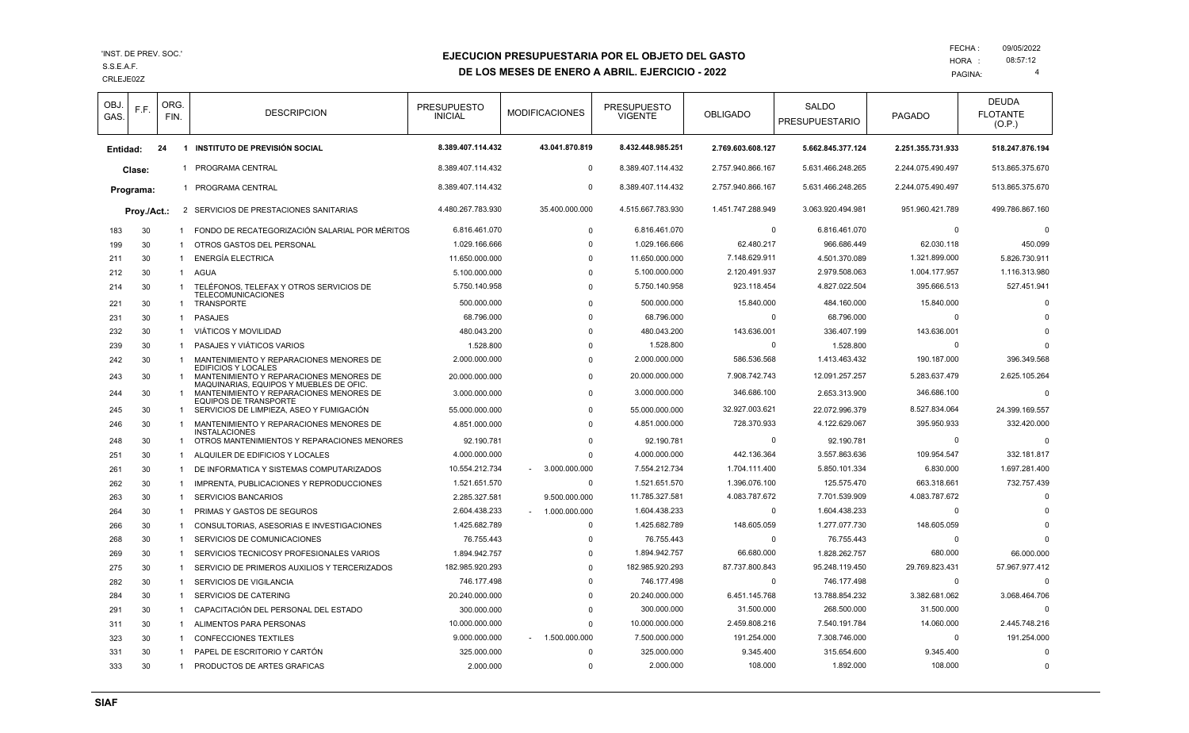#### CRLEJE02Z S.S.E.A.F.

### **EJECUCION PRESUPUESTARIA POR EL OBJETO DEL GASTO**

### **DE LOS MESES DE ENERO A ABRIL. EJERCICIO - 2022**

| OBJ.<br>GAS. | F.F.      | ORG.<br>FIN. |                    | <b>DESCRIPCION</b>                                                                 | <b>PRESUPUESTO</b><br><b>INICIAL</b> | <b>MODIFICACIONES</b> | <b>PRESUPUESTO</b><br>VIGENTE | <b>OBLIGADO</b>   | SALDO<br><b>PRESUPUESTARIO</b> | <b>PAGADO</b>     | <b>DEUDA</b><br><b>FLOTANTE</b><br>(O.P.) |
|--------------|-----------|--------------|--------------------|------------------------------------------------------------------------------------|--------------------------------------|-----------------------|-------------------------------|-------------------|--------------------------------|-------------------|-------------------------------------------|
| Entidad:     |           | 24           | -1                 | <b>INSTITUTO DE PREVISIÓN SOCIAL</b>                                               | 8.389.407.114.432                    | 43.041.870.819        | 8.432.448.985.251             | 2.769.603.608.127 | 5.662.845.377.124              | 2.251.355.731.933 | 518.247.876.194                           |
|              | Clase:    |              | -1                 | PROGRAMA CENTRAL                                                                   | 8.389.407.114.432                    | $\mathbf{0}$          | 8.389.407.114.432             | 2.757.940.866.167 | 5.631.466.248.265              | 2.244.075.490.497 | 513.865.375.670                           |
|              | Programa: |              | 1 PROGRAMA CENTRAL | 8.389.407.114.432                                                                  | $\mathbf 0$                          | 8.389.407.114.432     | 2.757.940.866.167             | 5.631.466.248.265 | 2.244.075.490.497              | 513.865.375.670   |                                           |
|              |           |              |                    |                                                                                    |                                      |                       |                               |                   |                                |                   |                                           |
| Proy./Act.:  |           |              |                    | 2 SERVICIOS DE PRESTACIONES SANITARIAS                                             | 4.480.267.783.930                    | 35.400.000.000        | 4.515.667.783.930             | 1.451.747.288.949 | 3.063.920.494.981              | 951.960.421.789   | 499.786.867.160                           |
| 183          | 30        |              | $\mathbf{1}$       | FONDO DE RECATEGORIZACIÓN SALARIAL POR MÉRITOS                                     | 6.816.461.070                        | $\mathbf 0$           | 6.816.461.070                 |                   | $\Omega$<br>6.816.461.070      | $\mathbf 0$       | $\mathsf{C}$                              |
| 199          | 30        |              |                    | OTROS GASTOS DEL PERSONAL                                                          | 1.029.166.666                        | $\Omega$              | 1.029.166.666                 | 62.480.217        | 966.686.449                    | 62.030.118        | 450.099                                   |
| 211          | 30        |              | $\overline{1}$     | <b>ENERGÍA ELECTRICA</b>                                                           | 11.650.000.000                       | $\Omega$              | 11.650.000.000                | 7.148.629.911     | 4.501.370.089                  | 1.321.899.000     | 5.826.730.911                             |
| 212          | 30        |              | $\mathbf{1}$       | AGUA                                                                               | 5.100.000.000                        | $\Omega$              | 5.100.000.000                 | 2.120.491.937     | 2.979.508.063                  | 1.004.177.957     | 1.116.313.980                             |
| 214          | 30        |              | $\overline{1}$     | TELÉFONOS, TELEFAX Y OTROS SERVICIOS DE<br><b>TELECOMUNICACIONES</b>               | 5.750.140.958                        | $\Omega$              | 5.750.140.958                 | 923.118.454       | 4.827.022.504                  | 395.666.513       | 527.451.941                               |
| 221          | 30        |              | -1                 | TRANSPORTE                                                                         | 500.000.000                          | $\Omega$              | 500.000.000                   | 15.840.000        | 484.160.000                    | 15.840.000        | $\Omega$                                  |
| 231          | 30        |              | $\overline{1}$     | <b>PASAJES</b>                                                                     | 68.796.000                           | $\Omega$              | 68.796.000                    | $\Omega$          | 68.796.000                     | $\Omega$          |                                           |
| 232          | 30        |              | $\overline{1}$     | VIÁTICOS Y MOVILIDAD                                                               | 480.043.200                          | $\Omega$              | 480.043.200                   | 143.636.001       | 336.407.199                    | 143.636.001       | C                                         |
| 239          | 30        |              |                    | PASAJES Y VIÁTICOS VARIOS                                                          | 1.528.800                            | $\Omega$              | 1.528.800                     | $\Omega$          | 1.528.800                      | $\Omega$          | $\Omega$                                  |
| 242          | 30        |              | $\overline{1}$     | MANTENIMIENTO Y REPARACIONES MENORES DE                                            | 2.000.000.000                        | $\Omega$              | 2.000.000.000                 | 586.536.568       | 1.413.463.432                  | 190.187.000       | 396.349.568                               |
| 243          | 30        |              |                    | <b>EDIFICIOS Y LOCALES</b><br>MANTENIMIENTO Y REPARACIONES MENORES DE              | 20.000.000.000                       | $\Omega$              | 20.000.000.000                | 7.908.742.743     | 12.091.257.257                 | 5.283.637.479     | 2.625.105.264                             |
| 244          | 30        |              | -1                 | MAQUINARIAS, EQUIPOS Y MUEBLES DE OFIC.<br>MANTENIMIENTO Y REPARACIONES MENORES DE | 3.000.000.000                        | $\Omega$              | 3.000.000.000                 | 346.686.100       | 2.653.313.900                  | 346.686.100       | C                                         |
|              |           |              |                    | EQUIPOS DE TRANSPORTE                                                              |                                      |                       |                               |                   |                                |                   |                                           |
| 245          | 30        |              | -1                 | SERVICIOS DE LIMPIEZA. ASEO Y FUMIGACIÓN                                           | 55.000.000.000                       | $\Omega$              | 55.000.000.000                | 32.927.003.621    | 22.072.996.379                 | 8.527.834.064     | 24.399.169.557                            |
| 246          | 30        |              | $\overline{1}$     | MANTENIMIENTO Y REPARACIONES MENORES DE<br><b>INSTALACIONES</b>                    | 4.851.000.000                        | $\Omega$              | 4.851.000.000                 | 728.370.933       | 4.122.629.067                  | 395.950.933       | 332.420.000                               |
| 248          | 30        |              | -1                 | OTROS MANTENIMIENTOS Y REPARACIONES MENORES                                        | 92.190.781                           | $\Omega$              | 92.190.781                    |                   | $\Omega$<br>92.190.781         | $\mathbf 0$       | $\Omega$                                  |
| 251          | 30        |              | -1                 | ALQUILER DE EDIFICIOS Y LOCALES                                                    | 4.000.000.000                        | $\Omega$              | 4.000.000.000                 | 442.136.364       | 3.557.863.636                  | 109.954.547       | 332.181.817                               |
| 261          | 30        |              | $\overline{1}$     | DE INFORMATICA Y SISTEMAS COMPUTARIZADOS                                           | 10.554.212.734                       | 3.000.000.000         | 7.554.212.734                 | 1.704.111.400     | 5.850.101.334                  | 6.830.000         | 1.697.281.400                             |
| 262          | 30        |              | $\overline{1}$     | IMPRENTA, PUBLICACIONES Y REPRODUCCIONES                                           | 1.521.651.570                        | $\mathbf 0$           | 1.521.651.570                 | 1.396.076.100     | 125.575.470                    | 663.318.661       | 732.757.439                               |
| 263          | 30        |              | -1                 | <b>SERVICIOS BANCARIOS</b>                                                         | 2.285.327.581                        | 9.500.000.000         | 11.785.327.581                | 4.083.787.672     | 7.701.539.909                  | 4.083.787.672     | $\mathsf{C}$                              |
| 264          | 30        |              | $\overline{1}$     | PRIMAS Y GASTOS DE SEGUROS                                                         | 2.604.438.233                        | 1.000.000.000         | 1.604.438.233                 |                   | $\Omega$<br>1.604.438.233      | $\mathbf 0$       | C                                         |
| 266          | 30        |              | $\overline{1}$     | CONSULTORIAS, ASESORIAS E INVESTIGACIONES                                          | 1.425.682.789                        | $\Omega$              | 1.425.682.789                 | 148.605.059       | 1.277.077.730                  | 148.605.059       | $\mathsf{C}$                              |
| 268          | 30        |              | $\overline{1}$     | SERVICIOS DE COMUNICACIONES                                                        | 76.755.443                           | $\Omega$              | 76.755.443                    | $\Omega$          | 76.755.443                     | $\Omega$          | $\Omega$                                  |
| 269          | 30        |              | $\overline{1}$     | SERVICIOS TECNICOSY PROFESIONALES VARIOS                                           | 1.894.942.757                        | $\Omega$              | 1.894.942.757                 | 66.680.000        | 1.828.262.757                  | 680.000           | 66.000.000                                |
| 275          | 30        |              | $\overline{1}$     | SERVICIO DE PRIMEROS AUXILIOS Y TERCERIZADOS                                       | 182.985.920.293                      | $\Omega$              | 182.985.920.293               | 87.737.800.843    | 95.248.119.450                 | 29.769.823.431    | 57.967.977.412                            |
| 282          | 30        |              | $\overline{1}$     | SERVICIOS DE VIGILANCIA                                                            | 746.177.498                          | $\Omega$              | 746.177.498                   |                   | $\mathbf 0$<br>746.177.498     | $\mathbf 0$       | $\Omega$                                  |
| 284          | 30        |              | $\overline{1}$     | <b>SERVICIOS DE CATERING</b>                                                       | 20.240.000.000                       | $\Omega$              | 20.240.000.000                | 6.451.145.768     | 13.788.854.232                 | 3.382.681.062     | 3.068.464.706                             |
| 291          | 30        |              | -1                 | CAPACITACIÓN DEL PERSONAL DEL ESTADO                                               | 300.000.000                          | $\Omega$              | 300.000.000                   | 31.500.000        | 268.500.000                    | 31.500.000        | $\Omega$                                  |
| 311          | 30        |              | $\overline{1}$     | ALIMENTOS PARA PERSONAS                                                            | 10.000.000.000                       | $\Omega$              | 10.000.000.000                | 2.459.808.216     | 7.540.191.784                  | 14.060.000        | 2.445.748.216                             |
| 323          | 30        |              | -1                 | <b>CONFECCIONES TEXTILES</b>                                                       | 9.000.000.000                        | $-1.500.000.000$      | 7.500.000.000                 | 191.254.000       | 7.308.746.000                  | $\Omega$          | 191.254.000                               |
| 331          | 30        |              | $\overline{1}$     | PAPEL DE ESCRITORIO Y CARTÓN                                                       | 325.000.000                          | $\Omega$              | 325.000.000                   | 9.345.400         | 315.654.600                    | 9.345.400         | $\Omega$                                  |
| 333          | 30        |              | $\overline{1}$     | PRODUCTOS DE ARTES GRAFICAS                                                        | 2.000.000                            | $\Omega$              | 2.000.000                     | 108.000           | 1.892.000                      | 108,000           | $\Omega$                                  |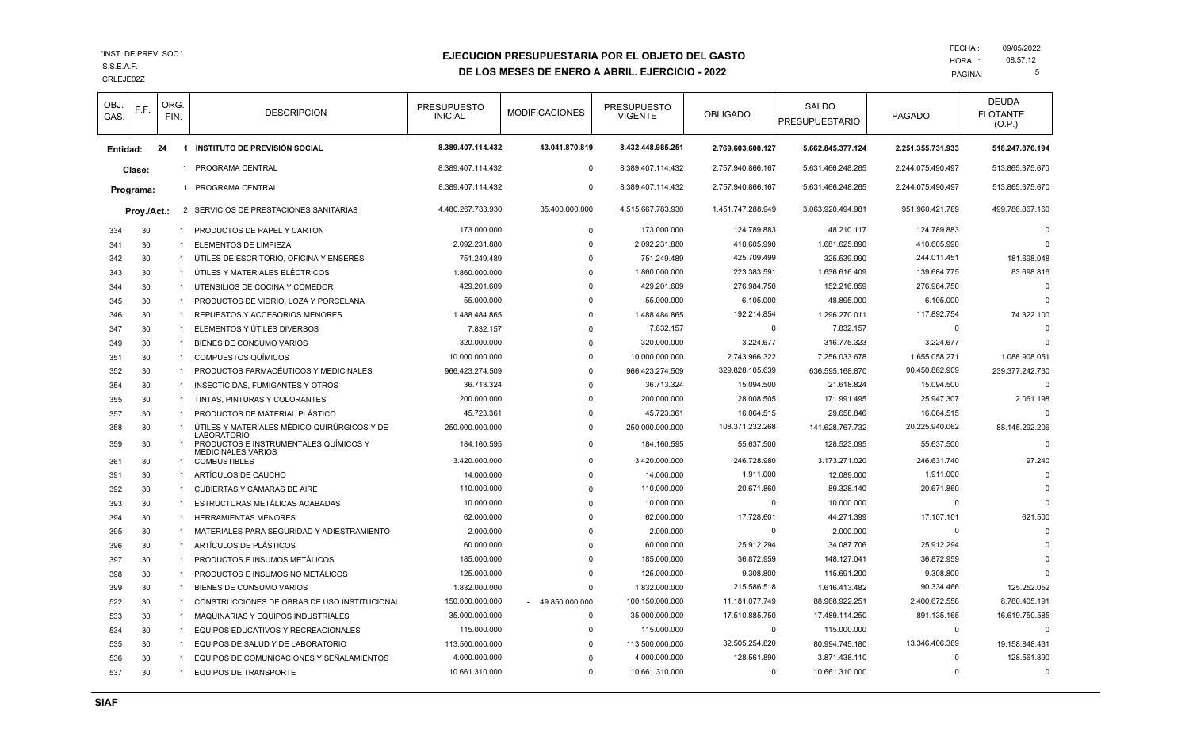CRLEJE02Z S.S.E.A.F.

## **EJECUCION PRESUPUESTARIA POR EL OBJETO DEL GASTO**

**DE LOS MESES DE ENERO A ABRIL. EJERCICIO - 2022**

| OBJ.<br>GAS. | F.F.      | ORG.<br>FIN. | <b>DESCRIPCION</b>                                                 | <b>PRESUPUESTO</b><br><b>INICIAL</b> | <b>MODIFICACIONES</b> | <b>PRESUPUESTO</b><br><b>VIGENTE</b> | <b>OBLIGADO</b>   | <b>SALDO</b><br><b>PRESUPUESTARIO</b> | <b>PAGADO</b>     | <b>DEUDA</b><br><b>FLOTANTE</b><br>(O.P.) |
|--------------|-----------|--------------|--------------------------------------------------------------------|--------------------------------------|-----------------------|--------------------------------------|-------------------|---------------------------------------|-------------------|-------------------------------------------|
| Entidad:     |           | 24           | 1 INSTITUTO DE PREVISIÓN SOCIAL                                    | 8.389.407.114.432                    | 43.041.870.819        | 8.432.448.985.251                    | 2.769.603.608.127 | 5.662.845.377.124                     | 2.251.355.731.933 | 518.247.876.194                           |
|              | Clase:    | -1           | PROGRAMA CENTRAL                                                   | 8.389.407.114.432                    | $\mathbf 0$           | 8.389.407.114.432                    | 2.757.940.866.167 | 5.631.466.248.265                     | 2.244.075.490.497 | 513.865.375.670                           |
|              | Programa: |              | 1 PROGRAMA CENTRAL                                                 | 8.389.407.114.432                    | $\mathbf 0$           | 8.389.407.114.432                    | 2.757.940.866.167 | 5.631.466.248.265                     | 2.244.075.490.497 | 513.865.375.670                           |
| Proy./Act.:  |           |              | 2 SERVICIOS DE PRESTACIONES SANITARIAS                             | 4.480.267.783.930                    | 35.400.000.000        | 4.515.667.783.930                    | 1.451.747.288.949 | 3.063.920.494.981                     | 951.960.421.789   | 499.786.867.160                           |
| 334          | 30        | 1            | PRODUCTOS DE PAPEL Y CARTON                                        | 173.000.000                          | $\mathbf 0$           | 173.000.000                          | 124.789.883       | 48.210.117                            | 124.789.883       | $\Omega$                                  |
| 341          | 30        | -1           | ELEMENTOS DE LIMPIEZA                                              | 2.092.231.880                        | $\Omega$              | 2.092.231.880                        | 410.605.990       | 1.681.625.890                         | 410.605.990       | $\Omega$                                  |
| 342          | 30        | 1            | ÚTILES DE ESCRITORIO, OFICINA Y ENSERES                            | 751.249.489                          | $\Omega$              | 751.249.489                          | 425.709.499       | 325.539.990                           | 244.011.451       | 181.698.048                               |
| 343          | 30        | $\mathbf{1}$ | ÚTILES Y MATERIALES ELÉCTRICOS                                     | 1.860.000.000                        | $\Omega$              | 1.860.000.000                        | 223.383.591       | 1.636.616.409                         | 139.684.775       | 83.698.816                                |
| 344          | 30        | 1            | UTENSILIOS DE COCINA Y COMEDOR                                     | 429.201.609                          | $\Omega$              | 429.201.609                          | 276.984.750       | 152.216.859                           | 276.984.750       | $\Omega$                                  |
| 345          | 30        | 1            | PRODUCTOS DE VIDRIO, LOZA Y PORCELANA                              | 55.000.000                           | $\Omega$              | 55.000.000                           | 6.105.000         | 48.895.000                            | 6.105.000         | $\Omega$                                  |
| 346          | 30        | 1            | REPUESTOS Y ACCESORIOS MENORES                                     | 1.488.484.865                        | $\Omega$              | 1.488.484.865                        | 192.214.854       | 1.296.270.011                         | 117.892.754       | 74.322.100                                |
| 347          | 30        |              | ELEMENTOS Y ÚTILES DIVERSOS                                        | 7.832.157                            | $\mathbf 0$           | 7.832.157                            | $\Omega$          | 7.832.157                             | $\mathbf 0$       | $\Omega$                                  |
| 349          | 30        | $\mathbf{1}$ | BIENES DE CONSUMO VARIOS                                           | 320.000.000                          | $\mathbf 0$           | 320.000.000                          | 3.224.677         | 316.775.323                           | 3.224.677         | $\cap$                                    |
| 351          | 30        | 1            | <b>COMPUESTOS QUÍMICOS</b>                                         | 10.000.000.000                       | $\Omega$              | 10.000.000.000                       | 2.743.966.322     | 7.256.033.678                         | 1.655.058.271     | 1.088.908.051                             |
| 352          | 30        | $\mathbf{1}$ | PRODUCTOS FARMACÉUTICOS Y MEDICINALES                              | 966.423.274.509                      | $\Omega$              | 966.423.274.509                      | 329.828.105.639   | 636.595.168.870                       | 90.450.862.909    | 239.377.242.730                           |
| 354          | 30        | 1            | INSECTICIDAS, FUMIGANTES Y OTROS                                   | 36.713.324                           | $\Omega$              | 36.713.324                           | 15.094.500        | 21.618.824                            | 15.094.500        | $\Omega$                                  |
| 355          | 30        | $\mathbf{1}$ | TINTAS, PINTURAS Y COLORANTES                                      | 200.000.000                          | $\mathbf 0$           | 200.000.000                          | 28.008.505        | 171.991.495                           | 25.947.307        | 2.061.198                                 |
| 357          | 30        | 1            | PRODUCTOS DE MATERIAL PLÁSTICO                                     | 45.723.361                           | $\Omega$              | 45.723.361                           | 16.064.515        | 29.658.846                            | 16.064.515        | $\Omega$                                  |
| 358          | 30        | $\mathbf{1}$ | ÚTILES Y MATERIALES MÉDICO-QUIRÚRGICOS Y DE<br><b>LABORATORIO</b>  | 250.000.000.000                      | $\Omega$              | 250.000.000.000                      | 108.371.232.268   | 141.628.767.732                       | 20.225.940.062    | 88.145.292.206                            |
| 359          | 30        |              | PRODUCTOS E INSTRUMENTALES QUÍMICOS Y<br><b>MEDICINALES VARIOS</b> | 184.160.595                          | $\Omega$              | 184.160.595                          | 55.637.500        | 128.523.095                           | 55.637.500        | $\Omega$                                  |
| 361          | 30        | $\mathbf{1}$ | <b>COMBUSTIBLES</b>                                                | 3.420.000.000                        | $\Omega$              | 3.420.000.000                        | 246.728.980       | 3.173.271.020                         | 246.631.740       | 97.240                                    |
| 391          | 30        | 1            | ARTÍCULOS DE CAUCHO                                                | 14.000.000                           | $\Omega$              | 14.000.000                           | 1.911.000         | 12.089.000                            | 1.911.000         | $\Omega$                                  |
| 392          | 30        | 1            | CUBIERTAS Y CÁMARAS DE AIRE                                        | 110.000.000                          | $\Omega$              | 110.000.000                          | 20.671.860        | 89.328.140                            | 20.671.860        |                                           |
| 393          | 30        | 1            | ESTRUCTURAS METÁLICAS ACABADAS                                     | 10.000.000                           | $\Omega$              | 10.000.000                           | $\Omega$          | 10.000.000                            | $\Omega$          | $\Omega$                                  |
| 394          | 30        | $\mathbf{1}$ | <b>HERRAMIENTAS MENORES</b>                                        | 62.000.000                           | $\mathbf 0$           | 62.000.000                           | 17.728.601        | 44.271.399                            | 17.107.101        | 621.500                                   |
| 395          | 30        | 1            | MATERIALES PARA SEGURIDAD Y ADIESTRAMIENTO                         | 2.000.000                            | $\Omega$              | 2.000.000                            | 0                 | 2.000.000                             | $\mathbf 0$       | $\Omega$                                  |
| 396          | 30        | 1            | ARTÍCULOS DE PLÁSTICOS                                             | 60.000.000                           | $\Omega$              | 60.000.000                           | 25.912.294        | 34.087.706                            | 25.912.294        |                                           |
| 397          | 30        | 1            | PRODUCTOS E INSUMOS METÁLICOS                                      | 185.000.000                          | $\Omega$              | 185.000.000                          | 36.872.959        | 148.127.041                           | 36.872.959        |                                           |
| 398          | 30        | 1            | PRODUCTOS E INSUMOS NO METÁLICOS                                   | 125.000.000                          | $\mathbf 0$           | 125.000.000                          | 9.308.800         | 115.691.200                           | 9.308.800         |                                           |
| 399          | 30        | 1            | BIENES DE CONSUMO VARIOS                                           | 1.832.000.000                        | $\Omega$              | 1.832.000.000                        | 215.586.518       | 1.616.413.482                         | 90.334.466        | 125.252.052                               |
| 522          | 30        | 1            | CONSTRUCCIONES DE OBRAS DE USO INSTITUCIONAL                       | 150.000.000.000                      | 49.850.000.000        | 100.150.000.000                      | 11.181.077.749    | 88.968.922.251                        | 2.400.672.558     | 8.780.405.191                             |
| 533          | 30        | $\mathbf{1}$ | MAQUINARIAS Y EQUIPOS INDUSTRIALES                                 | 35.000.000.000                       | $\mathbf 0$           | 35.000.000.000                       | 17.510.885.750    | 17.489.114.250                        | 891.135.165       | 16.619.750.585                            |
| 534          | 30        | 1            | EQUIPOS EDUCATIVOS Y RECREACIONALES                                | 115.000.000                          | $\mathbf 0$           | 115.000.000                          | $\Omega$          | 115.000.000                           | $\mathbf 0$       | $\Omega$                                  |
| 535          | 30        | 1            | EQUIPOS DE SALUD Y DE LABORATORIO                                  | 113.500.000.000                      | $\Omega$              | 113.500.000.000                      | 32.505.254.820    | 80.994.745.180                        | 13.346.406.389    | 19.158.848.431                            |
| 536          | 30        | -1           | EQUIPOS DE COMUNICACIONES Y SEÑALAMIENTOS                          | 4.000.000.000                        | ŋ                     | 4.000.000.000                        | 128.561.890       | 3.871.438.110                         | $\Omega$          | 128.561.890                               |
| 537          | 30        | 1            | <b>EQUIPOS DE TRANSPORTE</b>                                       | 10.661.310.000                       | $\Omega$              | 10.661.310.000                       | $\Omega$          | 10.661.310.000                        | $\Omega$          | $\Omega$                                  |